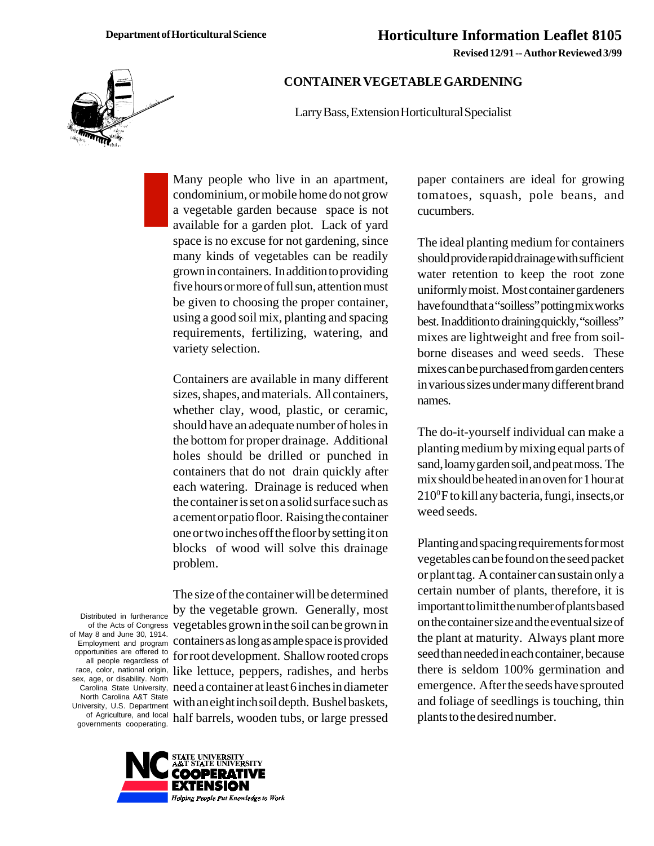**Revised 12/91 -- Author Reviewed 3/99**



## **CONTAINER VEGETABLE GARDENING**

Larry Bass, Extension Horticultural Specialist

Many people who live in an apartment, condominium, or mobile home do not grow a vegetable garden because space is not available for a garden plot. Lack of yard space is no excuse for not gardening, since many kinds of vegetables can be readily grown in containers. In addition to providing five hours or more of full sun, attention must be given to choosing the proper container, using a good soil mix, planting and spacing requirements, fertilizing, watering, and variety selection.

Containers are available in many different sizes, shapes, and materials. All containers, whether clay, wood, plastic, or ceramic, should have an adequate number of holes in the bottom for proper drainage. Additional holes should be drilled or punched in containers that do not drain quickly after each watering. Drainage is reduced when the container is set on a solid surface such as a cement or patio floor. Raising the container one or two inches off the floor by setting it on blocks of wood will solve this drainage problem.

Distributed in furtherance of the Acts of Congress of May 8 and June 30, 1914. Employment and program opportunities are offered to all people regardless of race, color, national origin, sex, age, or disability. North Carolina State University, North Carolina A&T State University, U.S. Department of Agriculture, and local governments cooperating.

The size of the container will be determined by the vegetable grown. Generally, most vegetables grown in the soil can be grown in containers as long as ample space is provided for root development. Shallow rooted crops like lettuce, peppers, radishes, and herbs need a container at least 6 inches in diameter with an eight inch soil depth. Bushel baskets, half barrels, wooden tubs, or large pressed



paper containers are ideal for growing tomatoes, squash, pole beans, and cucumbers.

The ideal planting medium for containers should provide rapid drainage with sufficient water retention to keep the root zone uniformly moist. Most container gardeners have found that a "soilless" potting mix works best. In addition to draining quickly, "soilless" mixes are lightweight and free from soilborne diseases and weed seeds. These mixes can be purchased from garden centers in various sizes under many different brand names.

The do-it-yourself individual can make a planting medium by mixing equal parts of sand, loamy garden soil, and peat moss. The mix should be heated in an oven for 1 hour at  $210^{\circ}$ F to kill any bacteria, fungi, insects, or weed seeds.

Planting and spacing requirements for most vegetables can be found on the seed packet or plant tag. A container can sustain only a certain number of plants, therefore, it is important to limit the number of plants based on the container size and the eventual size of the plant at maturity. Always plant more seed than needed in each container, because there is seldom 100% germination and emergence. After the seeds have sprouted and foliage of seedlings is touching, thin plants to the desired number.